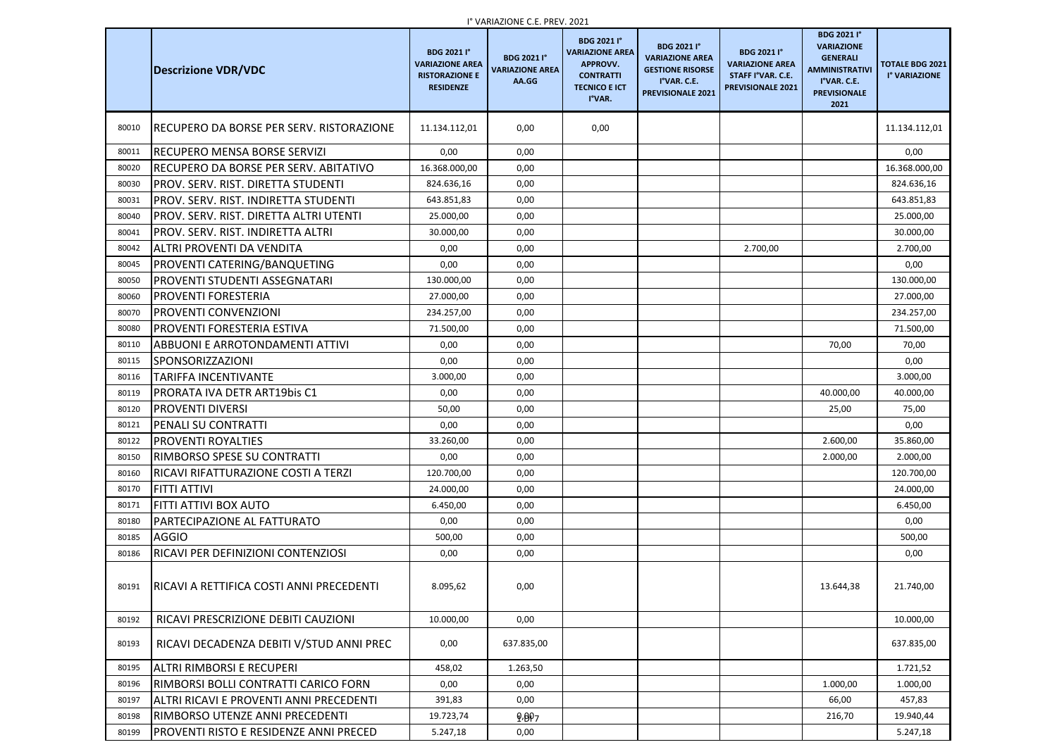|       |                                               |                                                                                           | <b>I</b> VARIAZIUNE C.E. PREV. ZUZT                   |                                                                                                                 |                                                                                                                    |                                                                                               |                                                                                                                                   |                                         |
|-------|-----------------------------------------------|-------------------------------------------------------------------------------------------|-------------------------------------------------------|-----------------------------------------------------------------------------------------------------------------|--------------------------------------------------------------------------------------------------------------------|-----------------------------------------------------------------------------------------------|-----------------------------------------------------------------------------------------------------------------------------------|-----------------------------------------|
|       | <b>Descrizione VDR/VDC</b>                    | <b>BDG 2021 I°</b><br><b>VARIAZIONE AREA</b><br><b>RISTORAZIONE E</b><br><b>RESIDENZE</b> | <b>BDG 2021 I°</b><br><b>VARIAZIONE AREA</b><br>AA.GG | <b>BDG 2021 I</b> °<br><b>VARIAZIONE AREA</b><br>APPROVV.<br><b>CONTRATTI</b><br><b>TECNICO E ICT</b><br>I°VAR. | <b>BDG 2021 I°</b><br><b>VARIAZIONE AREA</b><br><b>GESTIONE RISORSE</b><br>I°VAR. C.E.<br><b>PREVISIONALE 2021</b> | <b>BDG 2021 I°</b><br><b>VARIAZIONE AREA</b><br>STAFF I°VAR. C.E.<br><b>PREVISIONALE 2021</b> | <b>BDG 2021 I°</b><br><b>VARIAZIONE</b><br><b>GENERALI</b><br><b>AMMINISTRATIVI</b><br>I°VAR. C.E.<br><b>PREVISIONALE</b><br>2021 | <b>TOTALE BDG 2021</b><br>I° VARIAZIONE |
| 80010 | RECUPERO DA BORSE PER SERV. RISTORAZIONE      | 11.134.112,01                                                                             | 0,00                                                  | 0,00                                                                                                            |                                                                                                                    |                                                                                               |                                                                                                                                   | 11.134.112,01                           |
| 80011 | IRECUPERO MENSA BORSE SERVIZI                 | 0,00                                                                                      | 0,00                                                  |                                                                                                                 |                                                                                                                    |                                                                                               |                                                                                                                                   | 0,00                                    |
| 80020 | RECUPERO DA BORSE PER SERV. ABITATIVO         | 16.368.000,00                                                                             | 0,00                                                  |                                                                                                                 |                                                                                                                    |                                                                                               |                                                                                                                                   | 16.368.000,00                           |
| 80030 | PROV. SERV. RIST. DIRETTA STUDENTI            | 824.636,16                                                                                | 0,00                                                  |                                                                                                                 |                                                                                                                    |                                                                                               |                                                                                                                                   | 824.636,16                              |
| 80031 | PROV. SERV. RIST. INDIRETTA STUDENTI          | 643.851,83                                                                                | 0,00                                                  |                                                                                                                 |                                                                                                                    |                                                                                               |                                                                                                                                   | 643.851,83                              |
| 80040 | PROV. SERV. RIST. DIRETTA ALTRI UTENTI        | 25.000,00                                                                                 | 0,00                                                  |                                                                                                                 |                                                                                                                    |                                                                                               |                                                                                                                                   | 25.000,00                               |
| 80041 | PROV. SERV. RIST. INDIRETTA ALTRI             | 30.000,00                                                                                 | 0,00                                                  |                                                                                                                 |                                                                                                                    |                                                                                               |                                                                                                                                   | 30.000,00                               |
| 80042 | ALTRI PROVENTI DA VENDITA                     | 0,00                                                                                      | 0,00                                                  |                                                                                                                 |                                                                                                                    | 2.700,00                                                                                      |                                                                                                                                   | 2.700,00                                |
| 80045 | PROVENTI CATERING/BANQUETING                  | 0,00                                                                                      | 0,00                                                  |                                                                                                                 |                                                                                                                    |                                                                                               |                                                                                                                                   | 0,00                                    |
| 80050 | <b>PROVENTI STUDENTI ASSEGNATARI</b>          | 130.000,00                                                                                | 0,00                                                  |                                                                                                                 |                                                                                                                    |                                                                                               |                                                                                                                                   | 130.000,00                              |
| 80060 | <b>PROVENTI FORESTERIA</b>                    | 27.000,00                                                                                 | 0,00                                                  |                                                                                                                 |                                                                                                                    |                                                                                               |                                                                                                                                   | 27.000,00                               |
| 80070 | <b>PROVENTI CONVENZIONI</b>                   | 234.257,00                                                                                | 0,00                                                  |                                                                                                                 |                                                                                                                    |                                                                                               |                                                                                                                                   | 234.257,00                              |
| 80080 | <b>PROVENTI FORESTERIA ESTIVA</b>             | 71.500,00                                                                                 | 0,00                                                  |                                                                                                                 |                                                                                                                    |                                                                                               |                                                                                                                                   | 71.500,00                               |
| 80110 | <b>ABBUONI E ARROTONDAMENTI ATTIVI</b>        | 0,00                                                                                      | 0,00                                                  |                                                                                                                 |                                                                                                                    |                                                                                               | 70,00                                                                                                                             | 70,00                                   |
| 80115 | <b>SPONSORIZZAZIONI</b>                       | 0,00                                                                                      | 0,00                                                  |                                                                                                                 |                                                                                                                    |                                                                                               |                                                                                                                                   | 0,00                                    |
| 80116 | <b>TARIFFA INCENTIVANTE</b>                   | 3.000,00                                                                                  | 0,00                                                  |                                                                                                                 |                                                                                                                    |                                                                                               |                                                                                                                                   | 3.000,00                                |
| 80119 | <b>PRORATA IVA DETR ART19bis C1</b>           | 0,00                                                                                      | 0,00                                                  |                                                                                                                 |                                                                                                                    |                                                                                               | 40.000,00                                                                                                                         | 40.000,00                               |
| 80120 | <b>PROVENTI DIVERSI</b>                       | 50,00                                                                                     | 0,00                                                  |                                                                                                                 |                                                                                                                    |                                                                                               | 25,00                                                                                                                             | 75,00                                   |
| 80121 | <b>PENALI SU CONTRATTI</b>                    | 0,00                                                                                      | 0,00                                                  |                                                                                                                 |                                                                                                                    |                                                                                               |                                                                                                                                   | 0,00                                    |
| 80122 | <b>PROVENTI ROYALTIES</b>                     | 33.260,00                                                                                 | 0,00                                                  |                                                                                                                 |                                                                                                                    |                                                                                               | 2.600,00                                                                                                                          | 35.860,00                               |
| 80150 | IRIMBORSO SPESE SU CONTRATTI                  | 0,00                                                                                      | 0,00                                                  |                                                                                                                 |                                                                                                                    |                                                                                               | 2.000,00                                                                                                                          | 2.000,00                                |
| 80160 | RICAVI RIFATTURAZIONE COSTI A TERZI           | 120.700,00                                                                                | 0,00                                                  |                                                                                                                 |                                                                                                                    |                                                                                               |                                                                                                                                   | 120.700,00                              |
| 80170 | <b>FITTI ATTIVI</b>                           | 24.000,00                                                                                 | 0,00                                                  |                                                                                                                 |                                                                                                                    |                                                                                               |                                                                                                                                   | 24.000,00                               |
| 80171 | FITTI ATTIVI BOX AUTO                         | 6.450,00                                                                                  | 0,00                                                  |                                                                                                                 |                                                                                                                    |                                                                                               |                                                                                                                                   | 6.450,00                                |
| 80180 | PARTECIPAZIONE AL FATTURATO                   | 0,00                                                                                      | 0,00                                                  |                                                                                                                 |                                                                                                                    |                                                                                               |                                                                                                                                   | 0,00                                    |
| 80185 | <b>AGGIO</b>                                  | 500,00                                                                                    | 0,00                                                  |                                                                                                                 |                                                                                                                    |                                                                                               |                                                                                                                                   | 500,00                                  |
| 80186 | RICAVI PER DEFINIZIONI CONTENZIOSI            | 0,00                                                                                      | 0,00                                                  |                                                                                                                 |                                                                                                                    |                                                                                               |                                                                                                                                   | 0,00                                    |
| 80191 | RICAVI A RETTIFICA COSTI ANNI PRECEDENTI      | 8.095,62                                                                                  | 0,00                                                  |                                                                                                                 |                                                                                                                    |                                                                                               | 13.644,38                                                                                                                         | 21.740,00                               |
| 80192 | RICAVI PRESCRIZIONE DEBITI CAUZIONI           | 10.000,00                                                                                 | 0,00                                                  |                                                                                                                 |                                                                                                                    |                                                                                               |                                                                                                                                   | 10.000,00                               |
| 80193 | RICAVI DECADENZA DEBITI V/STUD ANNI PREC      | 0,00                                                                                      | 637.835,00                                            |                                                                                                                 |                                                                                                                    |                                                                                               |                                                                                                                                   | 637.835,00                              |
| 80195 | ALTRI RIMBORSI E RECUPERI                     | 458,02                                                                                    | 1.263,50                                              |                                                                                                                 |                                                                                                                    |                                                                                               |                                                                                                                                   | 1.721,52                                |
| 80196 | RIMBORSI BOLLI CONTRATTI CARICO FORN          | 0,00                                                                                      | 0,00                                                  |                                                                                                                 |                                                                                                                    |                                                                                               | 1.000,00                                                                                                                          | 1.000,00                                |
| 80197 | ALTRI RICAVI E PROVENTI ANNI PRECEDENTI       | 391,83                                                                                    | 0,00                                                  |                                                                                                                 |                                                                                                                    |                                                                                               | 66,00                                                                                                                             | 457,83                                  |
| 80198 | RIMBORSO UTENZE ANNI PRECEDENTI               | 19.723,74                                                                                 | 9.897                                                 |                                                                                                                 |                                                                                                                    |                                                                                               | 216,70                                                                                                                            | 19.940,44                               |
| 80199 | <b>PROVENTI RISTO E RESIDENZE ANNI PRECED</b> | 5.247,18                                                                                  | 0,00                                                  |                                                                                                                 |                                                                                                                    |                                                                                               |                                                                                                                                   | 5.247,18                                |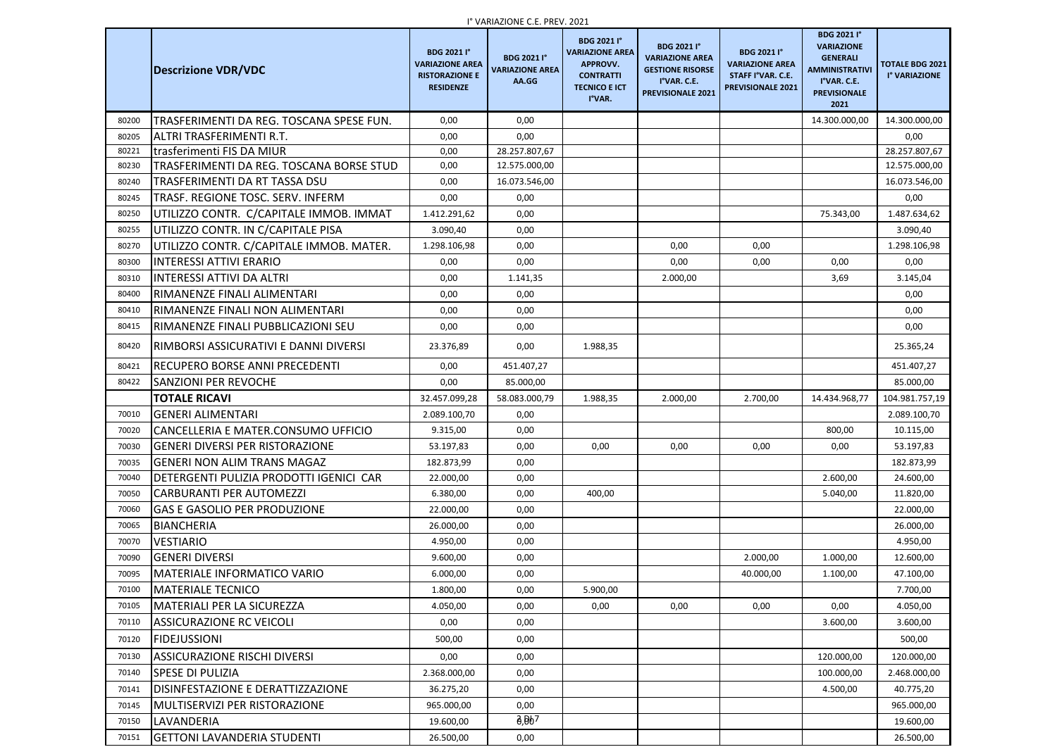|       | <b>Descrizione VDR/VDC</b>               | <b>BDG 2021 I°</b><br><b>VARIAZIONE AREA</b><br><b>RISTORAZIONE E</b><br><b>RESIDENZE</b> | T VARIAZIUNE C.E. PREV. ZUZT<br><b>BDG 2021 I°</b><br><b>VARIAZIONE AREA</b><br>AA.GG | <b>BDG 2021 I</b> °<br><b>VARIAZIONE AREA</b><br>APPROVV.<br><b>CONTRATTI</b><br><b>TECNICO E ICT</b><br>I°VAR. | <b>BDG 2021 I°</b><br><b>VARIAZIONE AREA</b><br><b>GESTIONE RISORSE</b><br>I°VAR. C.E.<br><b>PREVISIONALE 2021</b> | <b>BDG 2021 I°</b><br><b>VARIAZIONE AREA</b><br>STAFF I°VAR. C.E.<br><b>PREVISIONALE 2021</b> | <b>BDG 2021 I°</b><br><b>VARIAZIONE</b><br><b>GENERALI</b><br><b>AMMINISTRATIVI</b><br>I°VAR. C.E.<br><b>PREVISIONALE</b><br>2021 | <b>TOTALE BDG 2021</b><br>I° VARIAZIONE |
|-------|------------------------------------------|-------------------------------------------------------------------------------------------|---------------------------------------------------------------------------------------|-----------------------------------------------------------------------------------------------------------------|--------------------------------------------------------------------------------------------------------------------|-----------------------------------------------------------------------------------------------|-----------------------------------------------------------------------------------------------------------------------------------|-----------------------------------------|
| 80200 | TRASFERIMENTI DA REG. TOSCANA SPESE FUN. | 0,00                                                                                      | 0,00                                                                                  |                                                                                                                 |                                                                                                                    |                                                                                               | 14.300.000,00                                                                                                                     | 14.300.000,00                           |
| 80205 | ALTRI TRASFERIMENTI R.T.                 | 0,00                                                                                      | 0,00                                                                                  |                                                                                                                 |                                                                                                                    |                                                                                               |                                                                                                                                   | 0,00                                    |
| 80221 | <b>Itrasferimenti FIS DA MIUR</b>        | 0,00                                                                                      | 28.257.807,67                                                                         |                                                                                                                 |                                                                                                                    |                                                                                               |                                                                                                                                   | 28.257.807,67                           |
| 80230 | TRASFERIMENTI DA REG. TOSCANA BORSE STUD | 0,00                                                                                      | 12.575.000,00                                                                         |                                                                                                                 |                                                                                                                    |                                                                                               |                                                                                                                                   | 12.575.000,00                           |
| 80240 | TRASFERIMENTI DA RT TASSA DSU            | 0,00                                                                                      | 16.073.546,00                                                                         |                                                                                                                 |                                                                                                                    |                                                                                               |                                                                                                                                   | 16.073.546,00                           |
| 80245 | TRASF. REGIONE TOSC. SERV. INFERM        | 0,00                                                                                      | 0,00                                                                                  |                                                                                                                 |                                                                                                                    |                                                                                               |                                                                                                                                   | 0,00                                    |
| 80250 | UTILIZZO CONTR. C/CAPITALE IMMOB. IMMAT  | 1.412.291,62                                                                              | 0,00                                                                                  |                                                                                                                 |                                                                                                                    |                                                                                               | 75.343,00                                                                                                                         | 1.487.634,62                            |
| 80255 | UTILIZZO CONTR. IN C/CAPITALE PISA       | 3.090,40                                                                                  | 0,00                                                                                  |                                                                                                                 |                                                                                                                    |                                                                                               |                                                                                                                                   | 3.090,40                                |
| 80270 | UTILIZZO CONTR. C/CAPITALE IMMOB. MATER. | 1.298.106,98                                                                              | 0,00                                                                                  |                                                                                                                 | 0,00                                                                                                               | 0,00                                                                                          |                                                                                                                                   | 1.298.106,98                            |
| 80300 | <b>INTERESSI ATTIVI ERARIO</b>           | 0,00                                                                                      | 0,00                                                                                  |                                                                                                                 | 0,00                                                                                                               | 0,00                                                                                          | 0,00                                                                                                                              | 0,00                                    |
| 80310 | <b>INTERESSI ATTIVI DA ALTRI</b>         | 0,00                                                                                      | 1.141,35                                                                              |                                                                                                                 | 2.000,00                                                                                                           |                                                                                               | 3,69                                                                                                                              | 3.145,04                                |
| 80400 | RIMANENZE FINALI ALIMENTARI              | 0,00                                                                                      | 0,00                                                                                  |                                                                                                                 |                                                                                                                    |                                                                                               |                                                                                                                                   | 0,00                                    |
| 80410 | RIMANENZE FINALI NON ALIMENTARI          | 0,00                                                                                      | 0,00                                                                                  |                                                                                                                 |                                                                                                                    |                                                                                               |                                                                                                                                   | 0,00                                    |
| 80415 | RIMANENZE FINALI PUBBLICAZIONI SEU       | 0,00                                                                                      | 0,00                                                                                  |                                                                                                                 |                                                                                                                    |                                                                                               |                                                                                                                                   | 0,00                                    |
| 80420 | RIMBORSI ASSICURATIVI E DANNI DIVERSI    | 23.376,89                                                                                 | 0,00                                                                                  | 1.988,35                                                                                                        |                                                                                                                    |                                                                                               |                                                                                                                                   | 25.365,24                               |
| 80421 | RECUPERO BORSE ANNI PRECEDENTI           | 0,00                                                                                      | 451.407,27                                                                            |                                                                                                                 |                                                                                                                    |                                                                                               |                                                                                                                                   | 451.407,27                              |
| 80422 | <b>SANZIONI PER REVOCHE</b>              | 0,00                                                                                      | 85.000,00                                                                             |                                                                                                                 |                                                                                                                    |                                                                                               |                                                                                                                                   | 85.000,00                               |
|       | <b>TOTALE RICAVI</b>                     | 32.457.099,28                                                                             | 58.083.000,79                                                                         | 1.988,35                                                                                                        | 2.000,00                                                                                                           | 2.700,00                                                                                      | 14.434.968,77                                                                                                                     | 104.981.757,19                          |
| 70010 | <b>GENERI ALIMENTARI</b>                 | 2.089.100,70                                                                              | 0,00                                                                                  |                                                                                                                 |                                                                                                                    |                                                                                               |                                                                                                                                   | 2.089.100,70                            |
| 70020 | CANCELLERIA E MATER.CONSUMO UFFICIO      | 9.315,00                                                                                  | 0,00                                                                                  |                                                                                                                 |                                                                                                                    |                                                                                               | 800,00                                                                                                                            | 10.115,00                               |
| 70030 | <b>GENERI DIVERSI PER RISTORAZIONE</b>   | 53.197,83                                                                                 | 0,00                                                                                  | 0,00                                                                                                            | 0,00                                                                                                               | 0,00                                                                                          | 0,00                                                                                                                              | 53.197,83                               |
| 70035 | <b>GENERI NON ALIM TRANS MAGAZ</b>       | 182.873,99                                                                                | 0,00                                                                                  |                                                                                                                 |                                                                                                                    |                                                                                               |                                                                                                                                   | 182.873,99                              |
| 70040 | DETERGENTI PULIZIA PRODOTTI IGENICI CAR  | 22.000,00                                                                                 | 0,00                                                                                  |                                                                                                                 |                                                                                                                    |                                                                                               | 2.600,00                                                                                                                          | 24.600,00                               |
| 70050 | <b>CARBURANTI PER AUTOMEZZI</b>          | 6.380,00                                                                                  | 0,00                                                                                  | 400,00                                                                                                          |                                                                                                                    |                                                                                               | 5.040,00                                                                                                                          | 11.820,00                               |
| 70060 | <b>GAS E GASOLIO PER PRODUZIONE</b>      | 22.000,00                                                                                 | 0,00                                                                                  |                                                                                                                 |                                                                                                                    |                                                                                               |                                                                                                                                   | 22.000,00                               |
| 70065 | <b>BIANCHERIA</b>                        | 26.000,00                                                                                 | 0,00                                                                                  |                                                                                                                 |                                                                                                                    |                                                                                               |                                                                                                                                   | 26.000,00                               |
| 70070 | <b>VESTIARIO</b>                         | 4.950,00                                                                                  | 0,00                                                                                  |                                                                                                                 |                                                                                                                    |                                                                                               |                                                                                                                                   | 4.950,00                                |
| 70090 | <b>GENERI DIVERSI</b>                    | 9.600,00                                                                                  | 0,00                                                                                  |                                                                                                                 |                                                                                                                    | 2.000,00                                                                                      | 1.000,00                                                                                                                          | 12.600,00                               |
| 70095 | <b>MATERIALE INFORMATICO VARIO</b>       | 6.000,00                                                                                  | 0,00                                                                                  |                                                                                                                 |                                                                                                                    | 40.000,00                                                                                     | 1.100,00                                                                                                                          | 47.100,00                               |
| 70100 | <b>MATERIALE TECNICO</b>                 | 1.800,00                                                                                  | 0,00                                                                                  | 5.900,00                                                                                                        |                                                                                                                    |                                                                                               |                                                                                                                                   | 7.700,00                                |
| 70105 | <b>MATERIALI PER LA SICUREZZA</b>        | 4.050,00                                                                                  | 0,00                                                                                  | 0,00                                                                                                            | 0,00                                                                                                               | 0,00                                                                                          | 0,00                                                                                                                              | 4.050,00                                |
| 70110 | <b>ASSICURAZIONE RC VEICOLI</b>          | 0,00                                                                                      | 0,00                                                                                  |                                                                                                                 |                                                                                                                    |                                                                                               | 3.600,00                                                                                                                          | 3.600,00                                |
| 70120 | <b>FIDEJUSSIONI</b>                      | 500,00                                                                                    | 0,00                                                                                  |                                                                                                                 |                                                                                                                    |                                                                                               |                                                                                                                                   | 500,00                                  |
| 70130 | <b>ASSICURAZIONE RISCHI DIVERSI</b>      | 0,00                                                                                      | 0,00                                                                                  |                                                                                                                 |                                                                                                                    |                                                                                               | 120.000,00                                                                                                                        | 120.000,00                              |
| 70140 | <b>SPESE DI PULIZIA</b>                  | 2.368.000,00                                                                              | 0,00                                                                                  |                                                                                                                 |                                                                                                                    |                                                                                               | 100.000,00                                                                                                                        | 2.468.000,00                            |
| 70141 | <b>DISINFESTAZIONE E DERATTIZZAZIONE</b> | 36.275,20                                                                                 | 0,00                                                                                  |                                                                                                                 |                                                                                                                    |                                                                                               | 4.500,00                                                                                                                          | 40.775,20                               |
| 70145 | MULTISERVIZI PER RISTORAZIONE            | 965.000,00                                                                                | 0,00                                                                                  |                                                                                                                 |                                                                                                                    |                                                                                               |                                                                                                                                   | 965.000,00                              |
| 70150 | <b>LAVANDERIA</b>                        | 19.600,00                                                                                 | $\theta$ , $\theta$ $\theta$ 7                                                        |                                                                                                                 |                                                                                                                    |                                                                                               |                                                                                                                                   | 19.600,00                               |
| 70151 | <b>GETTONI LAVANDERIA STUDENTI</b>       | 26.500,00                                                                                 | 0,00                                                                                  |                                                                                                                 |                                                                                                                    |                                                                                               |                                                                                                                                   | 26.500,00                               |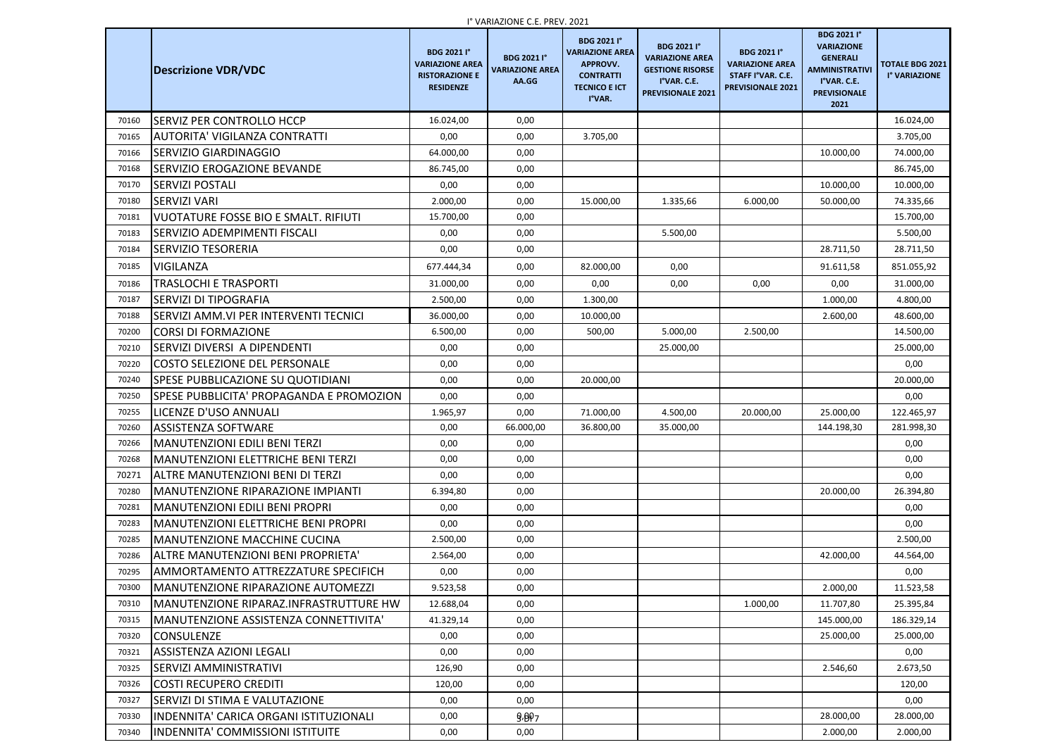|       |                                            |                                                                                           | <b>I</b> VARIAZIUNE C.E. PREV. ZUZT                   |                                                                                                                       |                                                                                                                    |                                                                                               |                                                                                                                                   |                                         |
|-------|--------------------------------------------|-------------------------------------------------------------------------------------------|-------------------------------------------------------|-----------------------------------------------------------------------------------------------------------------------|--------------------------------------------------------------------------------------------------------------------|-----------------------------------------------------------------------------------------------|-----------------------------------------------------------------------------------------------------------------------------------|-----------------------------------------|
|       | <b>Descrizione VDR/VDC</b>                 | <b>BDG 2021 I°</b><br><b>VARIAZIONE AREA</b><br><b>RISTORAZIONE E</b><br><b>RESIDENZE</b> | <b>BDG 2021 I°</b><br><b>VARIAZIONE AREA</b><br>AA.GG | <b>BDG 2021 I°</b><br><b>VARIAZIONE AREA</b><br><b>APPROVV.</b><br><b>CONTRATTI</b><br><b>TECNICO E ICT</b><br>I°VAR. | <b>BDG 2021 I°</b><br><b>VARIAZIONE AREA</b><br><b>GESTIONE RISORSE</b><br>I°VAR. C.E.<br><b>PREVISIONALE 2021</b> | <b>BDG 2021 I°</b><br><b>VARIAZIONE AREA</b><br>STAFF I°VAR. C.E.<br><b>PREVISIONALE 2021</b> | <b>BDG 2021 I°</b><br><b>VARIAZIONE</b><br><b>GENERALI</b><br><b>AMMINISTRATIVI</b><br>I°VAR. C.E.<br><b>PREVISIONALE</b><br>2021 | <b>TOTALE BDG 2021</b><br>I° VARIAZIONE |
| 70160 | <b>SERVIZ PER CONTROLLO HCCP</b>           | 16.024,00                                                                                 | 0,00                                                  |                                                                                                                       |                                                                                                                    |                                                                                               |                                                                                                                                   | 16.024,00                               |
| 70165 | AUTORITA' VIGILANZA CONTRATTI              | 0,00                                                                                      | 0,00                                                  | 3.705,00                                                                                                              |                                                                                                                    |                                                                                               |                                                                                                                                   | 3.705,00                                |
| 70166 | <b>SERVIZIO GIARDINAGGIO</b>               | 64.000,00                                                                                 | 0,00                                                  |                                                                                                                       |                                                                                                                    |                                                                                               | 10.000,00                                                                                                                         | 74.000,00                               |
| 70168 | <b>SERVIZIO EROGAZIONE BEVANDE</b>         | 86.745,00                                                                                 | 0,00                                                  |                                                                                                                       |                                                                                                                    |                                                                                               |                                                                                                                                   | 86.745,00                               |
| 70170 | <b>SERVIZI POSTALI</b>                     | 0,00                                                                                      | 0,00                                                  |                                                                                                                       |                                                                                                                    |                                                                                               | 10.000,00                                                                                                                         | 10.000,00                               |
| 70180 | <b>SERVIZI VARI</b>                        | 2.000,00                                                                                  | 0,00                                                  | 15.000,00                                                                                                             | 1.335,66                                                                                                           | 6.000,00                                                                                      | 50.000,00                                                                                                                         | 74.335,66                               |
| 70181 | VUOTATURE FOSSE BIO E SMALT. RIFIUTI       | 15.700,00                                                                                 | 0,00                                                  |                                                                                                                       |                                                                                                                    |                                                                                               |                                                                                                                                   | 15.700,00                               |
| 70183 | <b>SERVIZIO ADEMPIMENTI FISCALI</b>        | 0,00                                                                                      | 0,00                                                  |                                                                                                                       | 5.500,00                                                                                                           |                                                                                               |                                                                                                                                   | 5.500,00                                |
| 70184 | <b>SERVIZIO TESORERIA</b>                  | 0,00                                                                                      | 0,00                                                  |                                                                                                                       |                                                                                                                    |                                                                                               | 28.711,50                                                                                                                         | 28.711,50                               |
| 70185 | <b>VIGILANZA</b>                           | 677.444,34                                                                                | 0,00                                                  | 82.000,00                                                                                                             | 0,00                                                                                                               |                                                                                               | 91.611,58                                                                                                                         | 851.055,92                              |
| 70186 | TRASLOCHI E TRASPORTI                      | 31.000,00                                                                                 | 0,00                                                  | 0,00                                                                                                                  | 0,00                                                                                                               | 0,00                                                                                          | 0,00                                                                                                                              | 31.000,00                               |
| 70187 | <b>SERVIZI DI TIPOGRAFIA</b>               | 2.500,00                                                                                  | 0,00                                                  | 1.300,00                                                                                                              |                                                                                                                    |                                                                                               | 1.000,00                                                                                                                          | 4.800,00                                |
| 70188 | SERVIZI AMM. VI PER INTERVENTI TECNICI     | 36.000,00                                                                                 | 0,00                                                  | 10.000,00                                                                                                             |                                                                                                                    |                                                                                               | 2.600,00                                                                                                                          | 48.600,00                               |
| 70200 | <b>CORSI DI FORMAZIONE</b>                 | 6.500,00                                                                                  | 0,00                                                  | 500,00                                                                                                                | 5.000,00                                                                                                           | 2.500,00                                                                                      |                                                                                                                                   | 14.500,00                               |
| 70210 | SERVIZI DIVERSI A DIPENDENTI               | 0,00                                                                                      | 0,00                                                  |                                                                                                                       | 25.000,00                                                                                                          |                                                                                               |                                                                                                                                   | 25.000,00                               |
| 70220 | <b>COSTO SELEZIONE DEL PERSONALE</b>       | 0,00                                                                                      | 0,00                                                  |                                                                                                                       |                                                                                                                    |                                                                                               |                                                                                                                                   | 0,00                                    |
| 70240 | <b>SPESE PUBBLICAZIONE SU QUOTIDIANI</b>   | 0,00                                                                                      | 0,00                                                  | 20.000,00                                                                                                             |                                                                                                                    |                                                                                               |                                                                                                                                   | 20.000,00                               |
| 70250 | SPESE PUBBLICITA' PROPAGANDA E PROMOZION   | 0,00                                                                                      | 0,00                                                  |                                                                                                                       |                                                                                                                    |                                                                                               |                                                                                                                                   | 0,00                                    |
| 70255 | LICENZE D'USO ANNUALI                      | 1.965,97                                                                                  | 0,00                                                  | 71.000,00                                                                                                             | 4.500,00                                                                                                           | 20.000,00                                                                                     | 25.000,00                                                                                                                         | 122.465,97                              |
| 70260 | <b>ASSISTENZA SOFTWARE</b>                 | 0,00                                                                                      | 66.000,00                                             | 36.800,00                                                                                                             | 35.000,00                                                                                                          |                                                                                               | 144.198,30                                                                                                                        | 281.998,30                              |
| 70266 | MANUTENZIONI EDILI BENI TERZI              | 0,00                                                                                      | 0,00                                                  |                                                                                                                       |                                                                                                                    |                                                                                               |                                                                                                                                   | 0,00                                    |
| 70268 | MANUTENZIONI ELETTRICHE BENI TERZI         | 0,00                                                                                      | 0,00                                                  |                                                                                                                       |                                                                                                                    |                                                                                               |                                                                                                                                   | 0,00                                    |
| 70271 | ALTRE MANUTENZIONI BENI DI TERZI           | 0,00                                                                                      | 0,00                                                  |                                                                                                                       |                                                                                                                    |                                                                                               |                                                                                                                                   | 0,00                                    |
| 70280 | MANUTENZIONE RIPARAZIONE IMPIANTI          | 6.394,80                                                                                  | 0,00                                                  |                                                                                                                       |                                                                                                                    |                                                                                               | 20.000,00                                                                                                                         | 26.394,80                               |
| 70281 | MANUTENZIONI EDILI BENI PROPRI             | 0,00                                                                                      | 0,00                                                  |                                                                                                                       |                                                                                                                    |                                                                                               |                                                                                                                                   | 0,00                                    |
| 70283 | <b>MANUTENZIONI ELETTRICHE BENI PROPRI</b> | 0,00                                                                                      | 0,00                                                  |                                                                                                                       |                                                                                                                    |                                                                                               |                                                                                                                                   | 0,00                                    |
| 70285 | <b>MANUTENZIONE MACCHINE CUCINA</b>        | 2.500,00                                                                                  | 0,00                                                  |                                                                                                                       |                                                                                                                    |                                                                                               |                                                                                                                                   | 2.500,00                                |
| 70286 | ALTRE MANUTENZIONI BENI PROPRIETA'         | 2.564,00                                                                                  | 0,00                                                  |                                                                                                                       |                                                                                                                    |                                                                                               | 42.000,00                                                                                                                         | 44.564,00                               |
| 70295 | AMMORTAMENTO ATTREZZATURE SPECIFICH        | 0,00                                                                                      | 0,00                                                  |                                                                                                                       |                                                                                                                    |                                                                                               |                                                                                                                                   | 0,00                                    |
| 70300 | MANUTENZIONE RIPARAZIONE AUTOMEZZI         | 9.523,58                                                                                  | 0,00                                                  |                                                                                                                       |                                                                                                                    |                                                                                               | 2.000,00                                                                                                                          | 11.523,58                               |
| 70310 | IMANUTENZIONE RIPARAZ.INFRASTRUTTURE HW    | 12.688,04                                                                                 | 0,00                                                  |                                                                                                                       |                                                                                                                    | 1.000,00                                                                                      | 11.707,80                                                                                                                         | 25.395,84                               |
| 70315 | MANUTENZIONE ASSISTENZA CONNETTIVITA'      | 41.329,14                                                                                 | 0,00                                                  |                                                                                                                       |                                                                                                                    |                                                                                               | 145.000,00                                                                                                                        | 186.329,14                              |
| 70320 | <b>CONSULENZE</b>                          | 0,00                                                                                      | 0,00                                                  |                                                                                                                       |                                                                                                                    |                                                                                               | 25.000,00                                                                                                                         | 25.000,00                               |
| 70321 | <b>ASSISTENZA AZIONI LEGALI</b>            | 0,00                                                                                      | 0,00                                                  |                                                                                                                       |                                                                                                                    |                                                                                               |                                                                                                                                   | 0,00                                    |
| 70325 | SERVIZI AMMINISTRATIVI                     | 126,90                                                                                    | 0,00                                                  |                                                                                                                       |                                                                                                                    |                                                                                               | 2.546,60                                                                                                                          | 2.673,50                                |
| 70326 | <b>COSTI RECUPERO CREDITI</b>              | 120,00                                                                                    | 0,00                                                  |                                                                                                                       |                                                                                                                    |                                                                                               |                                                                                                                                   | 120,00                                  |
| 70327 | ISERVIZI DI STIMA E VALUTAZIONE            | 0,00                                                                                      | 0,00                                                  |                                                                                                                       |                                                                                                                    |                                                                                               |                                                                                                                                   | 0,00                                    |
| 70330 | INDENNITA' CARICA ORGANI ISTITUZIONALI     | 0,00                                                                                      | 9.897                                                 |                                                                                                                       |                                                                                                                    |                                                                                               | 28.000,00                                                                                                                         | 28.000,00                               |
| 70340 | INDENNITA' COMMISSIONI ISTITUITE           | 0,00                                                                                      | 0,00                                                  |                                                                                                                       |                                                                                                                    |                                                                                               | 2.000,00                                                                                                                          | 2.000,00                                |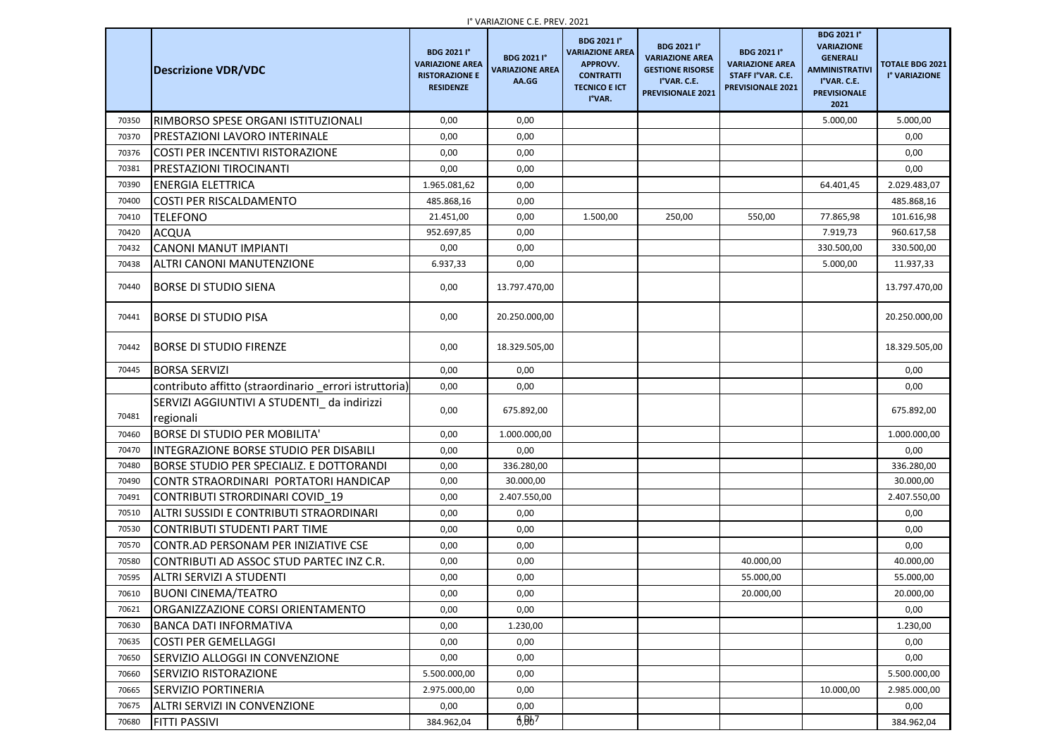|       | <b>Descrizione VDR/VDC</b>                                | <b>BDG 2021 I°</b><br><b>VARIAZIONE AREA</b><br><b>RISTORAZIONE E</b><br><b>RESIDENZE</b> | $\overline{a}$ vanazione c.e. $\overline{a}$ nev. 2021<br><b>BDG 2021 I°</b><br><b>VARIAZIONE AREA</b><br>AA.GG | <b>BDG 2021 I°</b><br><b>VARIAZIONE AREA</b><br>APPROVV.<br><b>CONTRATTI</b><br><b>TECNICO E ICT</b><br>I°VAR. | <b>BDG 2021 I°</b><br><b>VARIAZIONE AREA</b><br><b>GESTIONE RISORSE</b><br>I°VAR. C.E.<br><b>PREVISIONALE 2021</b> | <b>BDG 2021 I°</b><br><b>VARIAZIONE AREA</b><br>STAFF I°VAR. C.E.<br><b>PREVISIONALE 2021</b> | <b>BDG 2021 I°</b><br><b>VARIAZIONE</b><br><b>GENERALI</b><br><b>AMMINISTRATIVI</b><br>I°VAR. C.E.<br><b>PREVISIONALE</b><br>2021 | <b>TOTALE BDG 2021</b><br>I° VARIAZIONE |
|-------|-----------------------------------------------------------|-------------------------------------------------------------------------------------------|-----------------------------------------------------------------------------------------------------------------|----------------------------------------------------------------------------------------------------------------|--------------------------------------------------------------------------------------------------------------------|-----------------------------------------------------------------------------------------------|-----------------------------------------------------------------------------------------------------------------------------------|-----------------------------------------|
| 70350 | IRIMBORSO SPESE ORGANI ISTITUZIONALI                      | 0,00                                                                                      | 0,00                                                                                                            |                                                                                                                |                                                                                                                    |                                                                                               | 5.000,00                                                                                                                          | 5.000,00                                |
| 70370 | PRESTAZIONI LAVORO INTERINALE                             | 0,00                                                                                      | 0,00                                                                                                            |                                                                                                                |                                                                                                                    |                                                                                               |                                                                                                                                   | 0,00                                    |
| 70376 | COSTI PER INCENTIVI RISTORAZIONE                          | 0,00                                                                                      | 0,00                                                                                                            |                                                                                                                |                                                                                                                    |                                                                                               |                                                                                                                                   | 0,00                                    |
| 70381 | PRESTAZIONI TIROCINANTI                                   | 0,00                                                                                      | 0,00                                                                                                            |                                                                                                                |                                                                                                                    |                                                                                               |                                                                                                                                   | 0,00                                    |
| 70390 | ENERGIA ELETTRICA                                         | 1.965.081,62                                                                              | 0,00                                                                                                            |                                                                                                                |                                                                                                                    |                                                                                               | 64.401,45                                                                                                                         | 2.029.483,07                            |
| 70400 | <b>COSTI PER RISCALDAMENTO</b>                            | 485.868,16                                                                                | 0,00                                                                                                            |                                                                                                                |                                                                                                                    |                                                                                               |                                                                                                                                   | 485.868,16                              |
| 70410 | <b>TELEFONO</b>                                           | 21.451,00                                                                                 | 0,00                                                                                                            | 1.500,00                                                                                                       | 250,00                                                                                                             | 550,00                                                                                        | 77.865,98                                                                                                                         | 101.616,98                              |
| 70420 | <b>ACQUA</b>                                              | 952.697,85                                                                                | 0,00                                                                                                            |                                                                                                                |                                                                                                                    |                                                                                               | 7.919,73                                                                                                                          | 960.617,58                              |
| 70432 | <b>CANONI MANUT IMPIANTI</b>                              | 0,00                                                                                      | 0,00                                                                                                            |                                                                                                                |                                                                                                                    |                                                                                               | 330.500,00                                                                                                                        | 330.500,00                              |
| 70438 | <b>ALTRI CANONI MANUTENZIONE</b>                          | 6.937,33                                                                                  | 0,00                                                                                                            |                                                                                                                |                                                                                                                    |                                                                                               | 5.000,00                                                                                                                          | 11.937,33                               |
| 70440 | <b>BORSE DI STUDIO SIENA</b>                              | 0,00                                                                                      | 13.797.470,00                                                                                                   |                                                                                                                |                                                                                                                    |                                                                                               |                                                                                                                                   | 13.797.470,00                           |
| 70441 | BORSE DI STUDIO PISA                                      | 0,00                                                                                      | 20.250.000,00                                                                                                   |                                                                                                                |                                                                                                                    |                                                                                               |                                                                                                                                   | 20.250.000,00                           |
| 70442 | BORSE DI STUDIO FIRENZE                                   | 0,00                                                                                      | 18.329.505,00                                                                                                   |                                                                                                                |                                                                                                                    |                                                                                               |                                                                                                                                   | 18.329.505,00                           |
| 70445 | <b>BORSA SERVIZI</b>                                      | 0,00                                                                                      | 0,00                                                                                                            |                                                                                                                |                                                                                                                    |                                                                                               |                                                                                                                                   | 0,00                                    |
|       | contributo affitto (straordinario errori istruttoria)     | 0,00                                                                                      | 0,00                                                                                                            |                                                                                                                |                                                                                                                    |                                                                                               |                                                                                                                                   | 0,00                                    |
| 70481 | SERVIZI AGGIUNTIVI A STUDENTI_ da indirizzi<br> regionali | 0,00                                                                                      | 675.892,00                                                                                                      |                                                                                                                |                                                                                                                    |                                                                                               |                                                                                                                                   | 675.892,00                              |
| 70460 | <b>BORSE DI STUDIO PER MOBILITA'</b>                      | 0,00                                                                                      | 1.000.000,00                                                                                                    |                                                                                                                |                                                                                                                    |                                                                                               |                                                                                                                                   | 1.000.000,00                            |
| 70470 | INTEGRAZIONE BORSE STUDIO PER DISABILI                    | 0,00                                                                                      | 0,00                                                                                                            |                                                                                                                |                                                                                                                    |                                                                                               |                                                                                                                                   | 0,00                                    |
| 70480 | BORSE STUDIO PER SPECIALIZ. E DOTTORANDI                  | 0,00                                                                                      | 336.280,00                                                                                                      |                                                                                                                |                                                                                                                    |                                                                                               |                                                                                                                                   | 336.280,00                              |
| 70490 | CONTR STRAORDINARI PORTATORI HANDICAP                     | 0,00                                                                                      | 30.000,00                                                                                                       |                                                                                                                |                                                                                                                    |                                                                                               |                                                                                                                                   | 30.000,00                               |
| 70491 | CONTRIBUTI STRORDINARI COVID 19                           | 0,00                                                                                      | 2.407.550,00                                                                                                    |                                                                                                                |                                                                                                                    |                                                                                               |                                                                                                                                   | 2.407.550,00                            |
| 70510 | ALTRI SUSSIDI E CONTRIBUTI STRAORDINARI                   | 0,00                                                                                      | 0,00                                                                                                            |                                                                                                                |                                                                                                                    |                                                                                               |                                                                                                                                   | 0,00                                    |
| 70530 | <b>CONTRIBUTI STUDENTI PART TIME</b>                      | 0,00                                                                                      | 0,00                                                                                                            |                                                                                                                |                                                                                                                    |                                                                                               |                                                                                                                                   | 0,00                                    |
| 70570 | CONTR.AD PERSONAM PER INIZIATIVE CSE                      | 0,00                                                                                      | 0,00                                                                                                            |                                                                                                                |                                                                                                                    |                                                                                               |                                                                                                                                   | 0,00                                    |
| 70580 | CONTRIBUTI AD ASSOC STUD PARTEC INZ C.R.                  | 0,00                                                                                      | 0,00                                                                                                            |                                                                                                                |                                                                                                                    | 40.000,00                                                                                     |                                                                                                                                   | 40.000,00                               |
| 70595 | <b>ALTRI SERVIZI A STUDENTI</b>                           | 0,00                                                                                      | 0,00                                                                                                            |                                                                                                                |                                                                                                                    | 55.000,00                                                                                     |                                                                                                                                   | 55.000,00                               |
| 70610 | <b>BUONI CINEMA/TEATRO</b>                                | 0,00                                                                                      | 0,00                                                                                                            |                                                                                                                |                                                                                                                    | 20.000,00                                                                                     |                                                                                                                                   | 20.000,00                               |
| 70621 | ORGANIZZAZIONE CORSI ORIENTAMENTO                         | 0,00                                                                                      | 0,00                                                                                                            |                                                                                                                |                                                                                                                    |                                                                                               |                                                                                                                                   | 0,00                                    |
| 70630 | BANCA DATI INFORMATIVA                                    | 0,00                                                                                      | 1.230,00                                                                                                        |                                                                                                                |                                                                                                                    |                                                                                               |                                                                                                                                   | 1.230,00                                |
| 70635 | COSTI PER GEMELLAGGI                                      | 0,00                                                                                      | 0,00                                                                                                            |                                                                                                                |                                                                                                                    |                                                                                               |                                                                                                                                   | 0,00                                    |
| 70650 | <b>SERVIZIO ALLOGGI IN CONVENZIONE</b>                    | 0,00                                                                                      | 0,00                                                                                                            |                                                                                                                |                                                                                                                    |                                                                                               |                                                                                                                                   | 0,00                                    |
| 70660 | <b>SERVIZIO RISTORAZIONE</b>                              | 5.500.000,00                                                                              | 0,00                                                                                                            |                                                                                                                |                                                                                                                    |                                                                                               |                                                                                                                                   | 5.500.000,00                            |
| 70665 | <b>SERVIZIO PORTINERIA</b>                                | 2.975.000,00                                                                              | 0,00                                                                                                            |                                                                                                                |                                                                                                                    |                                                                                               | 10.000,00                                                                                                                         | 2.985.000,00                            |
| 70675 | ALTRI SERVIZI IN CONVENZIONE                              | 0,00                                                                                      | 0,00                                                                                                            |                                                                                                                |                                                                                                                    |                                                                                               |                                                                                                                                   | 0,00                                    |
| 70680 | <b>FITTI PASSIVI</b>                                      | 384.962,04                                                                                | 6,007                                                                                                           |                                                                                                                |                                                                                                                    |                                                                                               |                                                                                                                                   | 384.962,04                              |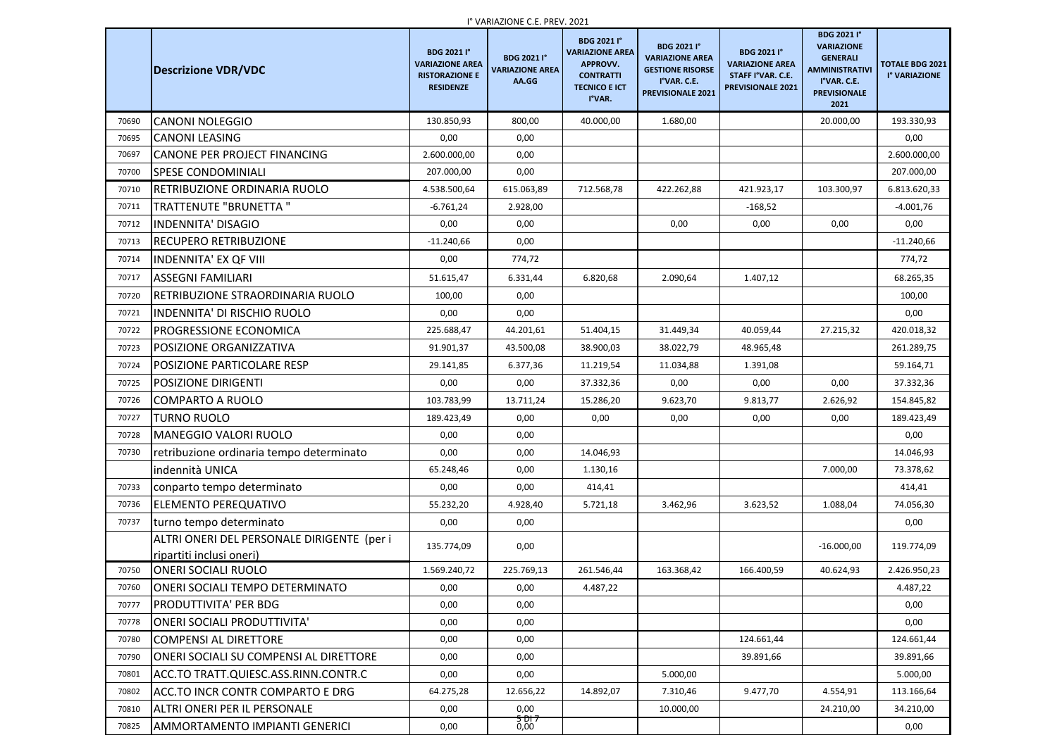|       |                                                                        | <b>BDG 2021 I°</b>                                                  | <b>I</b> VANIAZIUNE C.E. FREV. ZUZI<br><b>BDG 2021 I°</b> | <b>BDG 2021 I°</b><br><b>VARIAZIONE AREA</b>                          | <b>BDG 2021 I°</b><br><b>VARIAZIONE AREA</b>                       | <b>BDG 2021 I°</b>                                               | <b>BDG 2021 I</b> °<br><b>VARIAZIONE</b><br><b>GENERALI</b>         |                                         |
|-------|------------------------------------------------------------------------|---------------------------------------------------------------------|-----------------------------------------------------------|-----------------------------------------------------------------------|--------------------------------------------------------------------|------------------------------------------------------------------|---------------------------------------------------------------------|-----------------------------------------|
|       | <b>Descrizione VDR/VDC</b>                                             | <b>VARIAZIONE AREA</b><br><b>RISTORAZIONE E</b><br><b>RESIDENZE</b> | <b>VARIAZIONE AREA</b><br>AA.GG                           | <b>APPROVV.</b><br><b>CONTRATTI</b><br><b>TECNICO E ICT</b><br>I°VAR. | <b>GESTIONE RISORSE</b><br>I°VAR. C.E.<br><b>PREVISIONALE 2021</b> | <b>VARIAZIONE AREA</b><br>STAFF I°VAR. C.E.<br>PREVISIONALE 2021 | <b>AMMINISTRATIVI</b><br>I°VAR. C.E.<br><b>PREVISIONALE</b><br>2021 | <b>TOTALE BDG 2021</b><br>I° VARIAZIONE |
| 70690 | <b>CANONI NOLEGGIO</b>                                                 | 130.850,93                                                          | 800,00                                                    | 40.000,00                                                             | 1.680,00                                                           |                                                                  | 20.000,00                                                           | 193.330,93                              |
| 70695 | <b>CANONI LEASING</b>                                                  | 0,00                                                                | 0,00                                                      |                                                                       |                                                                    |                                                                  |                                                                     | 0,00                                    |
| 70697 | <b>CANONE PER PROJECT FINANCING</b>                                    | 2.600.000,00                                                        | 0,00                                                      |                                                                       |                                                                    |                                                                  |                                                                     | 2.600.000,00                            |
| 70700 | <b>SPESE CONDOMINIALI</b>                                              | 207.000,00                                                          | 0,00                                                      |                                                                       |                                                                    |                                                                  |                                                                     | 207.000,00                              |
| 70710 | <b>RETRIBUZIONE ORDINARIA RUOLO</b>                                    | 4.538.500,64                                                        | 615.063,89                                                | 712.568,78                                                            | 422.262,88                                                         | 421.923,17                                                       | 103.300,97                                                          | 6.813.620,33                            |
| 70711 | <b>TRATTENUTE "BRUNETTA "</b>                                          | $-6.761,24$                                                         | 2.928,00                                                  |                                                                       |                                                                    | $-168,52$                                                        |                                                                     | $-4.001,76$                             |
| 70712 | <b>INDENNITA' DISAGIO</b>                                              | 0,00                                                                | 0,00                                                      |                                                                       | 0,00                                                               | 0,00                                                             | 0,00                                                                | 0,00                                    |
| 70713 | <b>RECUPERO RETRIBUZIONE</b>                                           | $-11.240,66$                                                        | 0,00                                                      |                                                                       |                                                                    |                                                                  |                                                                     | $-11.240,66$                            |
| 70714 | <b>INDENNITA' EX QF VIII</b>                                           | 0,00                                                                | 774,72                                                    |                                                                       |                                                                    |                                                                  |                                                                     | 774,72                                  |
| 70717 | <b>ASSEGNI FAMILIARI</b>                                               | 51.615,47                                                           | 6.331,44                                                  | 6.820,68                                                              | 2.090,64                                                           | 1.407,12                                                         |                                                                     | 68.265,35                               |
| 70720 | RETRIBUZIONE STRAORDINARIA RUOLO                                       | 100,00                                                              | 0,00                                                      |                                                                       |                                                                    |                                                                  |                                                                     | 100,00                                  |
| 70721 | <b>INDENNITA' DI RISCHIO RUOLO</b>                                     | 0,00                                                                | 0,00                                                      |                                                                       |                                                                    |                                                                  |                                                                     | 0,00                                    |
| 70722 | <b>PROGRESSIONE ECONOMICA</b>                                          | 225.688,47                                                          | 44.201,61                                                 | 51.404,15                                                             | 31.449,34                                                          | 40.059,44                                                        | 27.215,32                                                           | 420.018,32                              |
| 70723 | <b>POSIZIONE ORGANIZZATIVA</b>                                         | 91.901,37                                                           | 43.500,08                                                 | 38.900,03                                                             | 38.022,79                                                          | 48.965,48                                                        |                                                                     | 261.289,75                              |
| 70724 | <b>POSIZIONE PARTICOLARE RESP</b>                                      | 29.141,85                                                           | 6.377,36                                                  | 11.219,54                                                             | 11.034,88                                                          | 1.391,08                                                         |                                                                     | 59.164,71                               |
| 70725 | <b>POSIZIONE DIRIGENTI</b>                                             | 0,00                                                                | 0,00                                                      | 37.332,36                                                             | 0,00                                                               | 0,00                                                             | 0,00                                                                | 37.332,36                               |
| 70726 | <b>COMPARTO A RUOLO</b>                                                | 103.783,99                                                          | 13.711,24                                                 | 15.286,20                                                             | 9.623,70                                                           | 9.813,77                                                         | 2.626,92                                                            | 154.845,82                              |
| 70727 | <b>TURNO RUOLO</b>                                                     | 189.423,49                                                          | 0,00                                                      | 0,00                                                                  | 0,00                                                               | 0,00                                                             | 0,00                                                                | 189.423,49                              |
| 70728 | <b>MANEGGIO VALORI RUOLO</b>                                           | 0,00                                                                | 0,00                                                      |                                                                       |                                                                    |                                                                  |                                                                     | 0,00                                    |
| 70730 | retribuzione ordinaria tempo determinato                               | 0,00                                                                | 0,00                                                      | 14.046,93                                                             |                                                                    |                                                                  |                                                                     | 14.046,93                               |
|       | indennità UNICA                                                        | 65.248,46                                                           | 0,00                                                      | 1.130,16                                                              |                                                                    |                                                                  | 7.000,00                                                            | 73.378,62                               |
| 70733 | conparto tempo determinato                                             | 0,00                                                                | 0,00                                                      | 414,41                                                                |                                                                    |                                                                  |                                                                     | 414,41                                  |
| 70736 | <b>ELEMENTO PEREQUATIVO</b>                                            | 55.232,20                                                           | 4.928,40                                                  | 5.721,18                                                              | 3.462,96                                                           | 3.623,52                                                         | 1.088,04                                                            | 74.056,30                               |
| 70737 | turno tempo determinato                                                | 0,00                                                                | 0,00                                                      |                                                                       |                                                                    |                                                                  |                                                                     | 0,00                                    |
|       | ALTRI ONERI DEL PERSONALE DIRIGENTE (per i<br>ripartiti inclusi oneri) | 135.774,09                                                          | 0,00                                                      |                                                                       |                                                                    |                                                                  | $-16.000,00$                                                        | 119.774,09                              |
| 70750 | <b>ONERI SOCIALI RUOLO</b>                                             | 1.569.240,72                                                        | 225.769,13                                                | 261.546,44                                                            | 163.368,42                                                         | 166.400,59                                                       | 40.624,93                                                           | 2.426.950,23                            |
| 70760 | <b>ONERI SOCIALI TEMPO DETERMINATO</b>                                 | 0,00                                                                | 0,00                                                      | 4.487,22                                                              |                                                                    |                                                                  |                                                                     | 4.487,22                                |
| 70777 | <b>PRODUTTIVITA' PER BDG</b>                                           | 0,00                                                                | 0,00                                                      |                                                                       |                                                                    |                                                                  |                                                                     | 0,00                                    |
| 70778 | <b>ONERI SOCIALI PRODUTTIVITA'</b>                                     | 0,00                                                                | 0,00                                                      |                                                                       |                                                                    |                                                                  |                                                                     | 0,00                                    |
| 70780 | <b>COMPENSI AL DIRETTORE</b>                                           | 0,00                                                                | 0,00                                                      |                                                                       |                                                                    | 124.661,44                                                       |                                                                     | 124.661,44                              |
| 70790 | <b>ONERI SOCIALI SU COMPENSI AL DIRETTORE</b>                          | 0,00                                                                | 0,00                                                      |                                                                       |                                                                    | 39.891,66                                                        |                                                                     | 39.891,66                               |
| 70801 | ACC.TO TRATT.QUIESC.ASS.RINN.CONTR.C                                   | 0,00                                                                | 0,00                                                      |                                                                       | 5.000,00                                                           |                                                                  |                                                                     | 5.000,00                                |
| 70802 | ACC.TO INCR CONTR COMPARTO E DRG                                       | 64.275,28                                                           | 12.656,22                                                 | 14.892,07                                                             | 7.310,46                                                           | 9.477,70                                                         | 4.554,91                                                            | 113.166,64                              |
| 70810 | <b>ALTRI ONERI PER IL PERSONALE</b>                                    | 0,00                                                                | 0,00                                                      |                                                                       | 10.000,00                                                          |                                                                  | 24.210,00                                                           | 34.210,00                               |
| 70825 | <b>AMMORTAMENTO IMPIANTI GENERICI</b>                                  | 0,00                                                                | <del>7 וס 5</del><br>0,00                                 |                                                                       |                                                                    |                                                                  |                                                                     | 0,00                                    |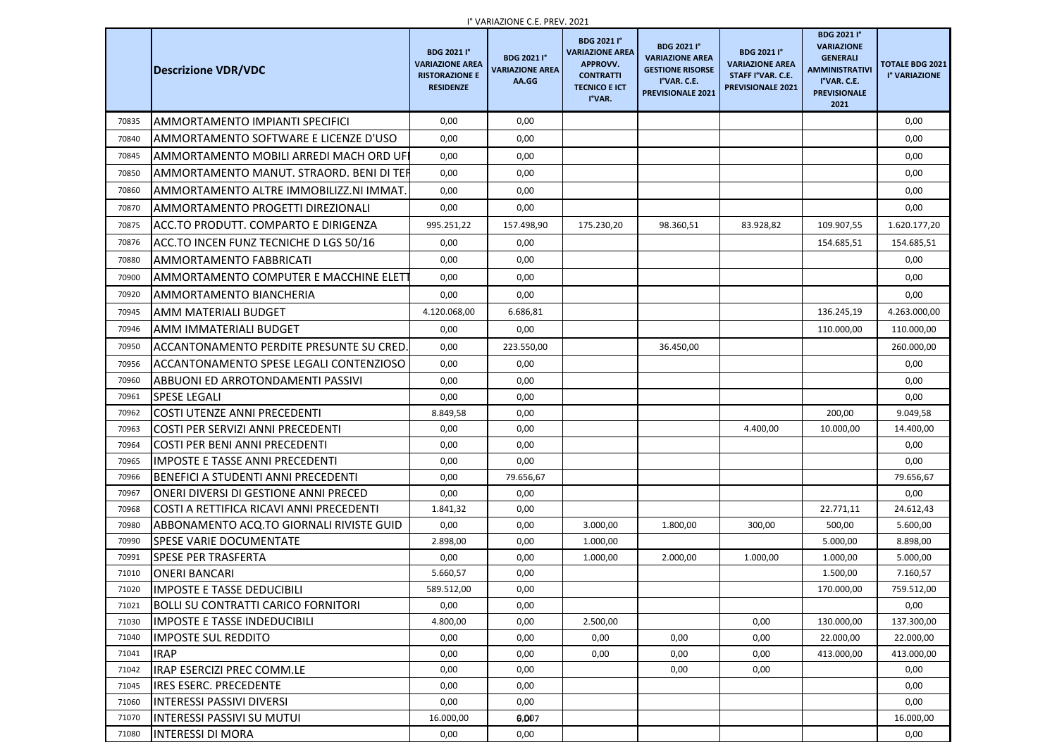|                | <b>Descrizione VDR/VDC</b>                                                 | <b>BDG 2021 I°</b><br><b>VARIAZIONE AREA</b><br><b>RISTORAZIONE E</b><br><b>RESIDENZE</b> | <b>I VANIAZIUIVE C.E. FREV. ZUZI</b><br><b>BDG 2021 I°</b><br><b>VARIAZIONE AREA</b><br>AA.GG | <b>BDG 2021 I°</b><br><b>VARIAZIONE AREA</b><br><b>APPROVV.</b><br><b>CONTRATTI</b><br><b>TECNICO E ICT</b><br>I°VAR. | <b>BDG 2021 I°</b><br><b>VARIAZIONE AREA</b><br><b>GESTIONE RISORSE</b><br>I°VAR. C.E.<br><b>PREVISIONALE 2021</b> | <b>BDG 2021 I°</b><br><b>VARIAZIONE AREA</b><br>STAFF I°VAR. C.E.<br><b>PREVISIONALE 2021</b> | <b>BDG 2021 I°</b><br><b>VARIAZIONE</b><br><b>GENERALI</b><br><b>AMMINISTRATIVI</b><br>I°VAR. C.E.<br><b>PREVISIONALE</b><br>2021 | <b>TOTALE BDG 2021</b><br>I° VARIAZIONE |
|----------------|----------------------------------------------------------------------------|-------------------------------------------------------------------------------------------|-----------------------------------------------------------------------------------------------|-----------------------------------------------------------------------------------------------------------------------|--------------------------------------------------------------------------------------------------------------------|-----------------------------------------------------------------------------------------------|-----------------------------------------------------------------------------------------------------------------------------------|-----------------------------------------|
| 70835          | <b>AMMORTAMENTO IMPIANTI SPECIFICI</b>                                     | 0,00                                                                                      | 0,00                                                                                          |                                                                                                                       |                                                                                                                    |                                                                                               |                                                                                                                                   | 0,00                                    |
| 70840          | AMMORTAMENTO SOFTWARE E LICENZE D'USO                                      | 0,00                                                                                      | 0,00                                                                                          |                                                                                                                       |                                                                                                                    |                                                                                               |                                                                                                                                   | 0,00                                    |
| 70845          | AMMORTAMENTO MOBILI ARREDI MACH ORD UFI                                    | 0,00                                                                                      | 0,00                                                                                          |                                                                                                                       |                                                                                                                    |                                                                                               |                                                                                                                                   | 0,00                                    |
| 70850          | AMMORTAMENTO MANUT. STRAORD. BENI DI TER                                   | 0,00                                                                                      | 0,00                                                                                          |                                                                                                                       |                                                                                                                    |                                                                                               |                                                                                                                                   | 0,00                                    |
| 70860          | AMMORTAMENTO ALTRE IMMOBILIZZ.NI IMMAT.                                    | 0,00                                                                                      | 0,00                                                                                          |                                                                                                                       |                                                                                                                    |                                                                                               |                                                                                                                                   | 0,00                                    |
| 70870          | AMMORTAMENTO PROGETTI DIREZIONALI                                          | 0,00                                                                                      | 0,00                                                                                          |                                                                                                                       |                                                                                                                    |                                                                                               |                                                                                                                                   | 0,00                                    |
| 70875          | ACC.TO PRODUTT. COMPARTO E DIRIGENZA                                       | 995.251,22                                                                                | 157.498,90                                                                                    | 175.230,20                                                                                                            | 98.360,51                                                                                                          | 83.928,82                                                                                     | 109.907,55                                                                                                                        | 1.620.177,20                            |
| 70876          | ACC.TO INCEN FUNZ TECNICHE D LGS 50/16                                     | 0,00                                                                                      | 0,00                                                                                          |                                                                                                                       |                                                                                                                    |                                                                                               | 154.685,51                                                                                                                        | 154.685,51                              |
| 70880          | AMMORTAMENTO FABBRICATI                                                    | 0,00                                                                                      | 0,00                                                                                          |                                                                                                                       |                                                                                                                    |                                                                                               |                                                                                                                                   | 0,00                                    |
| 70900          | AMMORTAMENTO COMPUTER E MACCHINE ELETT                                     | 0,00                                                                                      | 0,00                                                                                          |                                                                                                                       |                                                                                                                    |                                                                                               |                                                                                                                                   | 0,00                                    |
| 70920          | <b>AMMORTAMENTO BIANCHERIA</b>                                             | 0,00                                                                                      | 0,00                                                                                          |                                                                                                                       |                                                                                                                    |                                                                                               |                                                                                                                                   | 0,00                                    |
| 70945          | <b>AMM MATERIALI BUDGET</b>                                                | 4.120.068,00                                                                              | 6.686,81                                                                                      |                                                                                                                       |                                                                                                                    |                                                                                               | 136.245,19                                                                                                                        | 4.263.000,00                            |
| 70946          | AMM IMMATERIALI BUDGET                                                     | 0,00                                                                                      | 0,00                                                                                          |                                                                                                                       |                                                                                                                    |                                                                                               | 110.000,00                                                                                                                        | 110.000,00                              |
| 70950          | ACCANTONAMENTO PERDITE PRESUNTE SU CRED.                                   | 0,00                                                                                      | 223.550,00                                                                                    |                                                                                                                       | 36.450,00                                                                                                          |                                                                                               |                                                                                                                                   | 260.000,00                              |
| 70956          | ACCANTONAMENTO SPESE LEGALI CONTENZIOSO                                    | 0,00                                                                                      | 0,00                                                                                          |                                                                                                                       |                                                                                                                    |                                                                                               |                                                                                                                                   | 0,00                                    |
| 70960          | <b>ABBUONI ED ARROTONDAMENTI PASSIVI</b>                                   | 0,00                                                                                      | 0,00                                                                                          |                                                                                                                       |                                                                                                                    |                                                                                               |                                                                                                                                   | 0,00                                    |
| 70961          | <b>SPESE LEGALI</b>                                                        | 0,00                                                                                      | 0,00                                                                                          |                                                                                                                       |                                                                                                                    |                                                                                               |                                                                                                                                   | 0,00                                    |
| 70962          | <b>COSTI UTENZE ANNI PRECEDENTI</b>                                        | 8.849,58                                                                                  | 0,00                                                                                          |                                                                                                                       |                                                                                                                    |                                                                                               | 200,00                                                                                                                            | 9.049,58                                |
| 70963          | <b>COSTI PER SERVIZI ANNI PRECEDENTI</b>                                   | 0,00                                                                                      | 0,00                                                                                          |                                                                                                                       |                                                                                                                    | 4.400,00                                                                                      | 10.000,00                                                                                                                         | 14.400,00                               |
| 70964          | <b>COSTI PER BENI ANNI PRECEDENTI</b>                                      | 0,00                                                                                      | 0,00                                                                                          |                                                                                                                       |                                                                                                                    |                                                                                               |                                                                                                                                   | 0,00                                    |
| 70965          | IIMPOSTE E TASSE ANNI PRECEDENTI                                           | 0,00                                                                                      | 0,00                                                                                          |                                                                                                                       |                                                                                                                    |                                                                                               |                                                                                                                                   | 0,00                                    |
| 70966          | BENEFICI A STUDENTI ANNI PRECEDENTI                                        | 0,00                                                                                      | 79.656,67                                                                                     |                                                                                                                       |                                                                                                                    |                                                                                               |                                                                                                                                   | 79.656,67                               |
| 70967          | IONERI DIVERSI DI GESTIONE ANNI PRECED                                     | 0,00                                                                                      | 0,00                                                                                          |                                                                                                                       |                                                                                                                    |                                                                                               |                                                                                                                                   | 0,00                                    |
| 70968          | COSTI A RETTIFICA RICAVI ANNI PRECEDENTI                                   | 1.841,32                                                                                  | 0,00                                                                                          |                                                                                                                       |                                                                                                                    |                                                                                               | 22.771,11                                                                                                                         | 24.612,43                               |
| 70980          | ABBONAMENTO ACQ.TO GIORNALI RIVISTE GUID                                   | 0,00                                                                                      | 0,00                                                                                          | 3.000,00                                                                                                              | 1.800,00                                                                                                           | 300,00                                                                                        | 500,00                                                                                                                            | 5.600,00                                |
| 70990          | <b>SPESE VARIE DOCUMENTATE</b>                                             | 2.898,00                                                                                  | 0,00                                                                                          | 1.000,00                                                                                                              |                                                                                                                    |                                                                                               | 5.000,00                                                                                                                          | 8.898,00                                |
| 70991          | <b>SPESE PER TRASFERTA</b>                                                 | 0,00                                                                                      | 0,00                                                                                          | 1.000,00                                                                                                              | 2.000,00                                                                                                           | 1.000,00                                                                                      | 1.000,00                                                                                                                          | 5.000,00                                |
| 71010          | <b>ONERI BANCARI</b>                                                       | 5.660,57                                                                                  | 0,00                                                                                          |                                                                                                                       |                                                                                                                    |                                                                                               | 1.500,00                                                                                                                          | 7.160,57                                |
| 71020          | <b>IMPOSTE E TASSE DEDUCIBILI</b>                                          | 589.512,00                                                                                | 0,00                                                                                          |                                                                                                                       |                                                                                                                    |                                                                                               | 170.000,00                                                                                                                        | 759.512,00                              |
| 71021<br>71030 | <b>BOLLI SU CONTRATTI CARICO FORNITORI</b><br>IMPOSTE E TASSE INDEDUCIBILI | 0,00<br>4.800,00                                                                          | 0,00<br>0,00                                                                                  | 2.500,00                                                                                                              |                                                                                                                    | 0,00                                                                                          | 130.000,00                                                                                                                        | 0,00<br>137.300,00                      |
| 71040          | <b>IMPOSTE SUL REDDITO</b>                                                 | 0,00                                                                                      | 0,00                                                                                          | 0,00                                                                                                                  | 0,00                                                                                                               | 0,00                                                                                          | 22.000,00                                                                                                                         | 22.000,00                               |
| 71041          | <b>IRAP</b>                                                                | 0,00                                                                                      | 0,00                                                                                          | 0,00                                                                                                                  | 0,00                                                                                                               | 0,00                                                                                          | 413.000,00                                                                                                                        | 413.000,00                              |
| 71042          | <b>IRAP ESERCIZI PREC COMM.LE</b>                                          | 0,00                                                                                      | 0,00                                                                                          |                                                                                                                       | 0,00                                                                                                               | 0,00                                                                                          |                                                                                                                                   | 0,00                                    |
| 71045          | <b>IRES ESERC. PRECEDENTE</b>                                              | 0,00                                                                                      | 0,00                                                                                          |                                                                                                                       |                                                                                                                    |                                                                                               |                                                                                                                                   | 0,00                                    |
| 71060          | <b>INTERESSI PASSIVI DIVERSI</b>                                           | 0,00                                                                                      | 0,00                                                                                          |                                                                                                                       |                                                                                                                    |                                                                                               |                                                                                                                                   | 0,00                                    |
| 71070          | INTERESSI PASSIVI SU MUTUI                                                 | 16.000,00                                                                                 | 0,007                                                                                         |                                                                                                                       |                                                                                                                    |                                                                                               |                                                                                                                                   | 16.000,00                               |
| 71080          | <b>INTERESSI DI MORA</b>                                                   | 0,00                                                                                      | 0,00                                                                                          |                                                                                                                       |                                                                                                                    |                                                                                               |                                                                                                                                   | 0,00                                    |